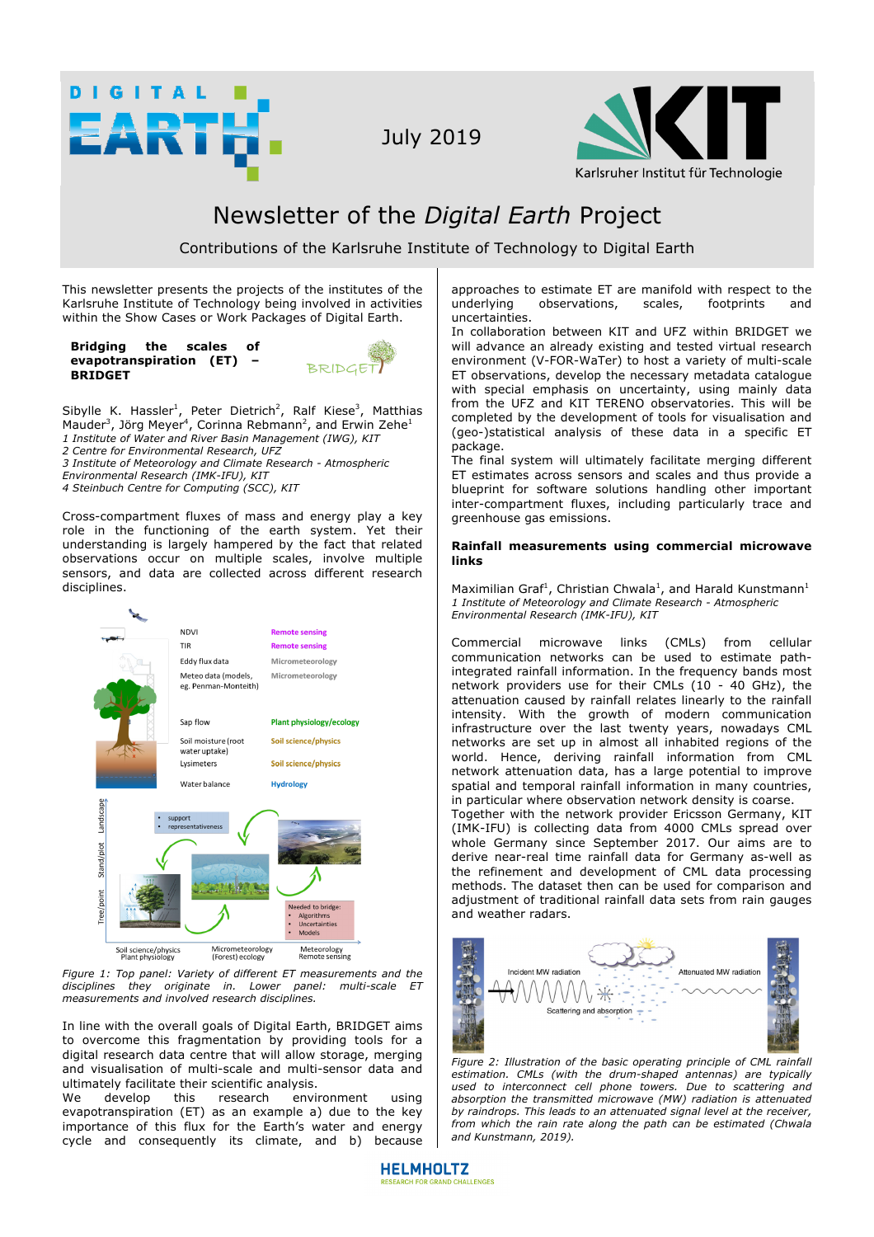

July 2019



## Newsletter of the *Digital Earth* Project

Contributions of the Karlsruhe Institute of Technology to Digital Earth

This newsletter presents the projects of the institutes of the Karlsruhe Institute of Technology being involved in activities within the Show Cases or Work Packages of Digital Earth.

**Bridging the scales of evapotranspiration (ET) – BRIDGET** 



Sibylle K. Hassler<sup>1</sup>, Peter Dietrich<sup>2</sup>, Ralf Kiese<sup>3</sup>, Matthias Mauder<sup>3</sup>, Jörg Meyer<sup>4</sup>, Corinna Rebmann<sup>2</sup>, and Erwin Zehe<sup>1</sup> *1 Institute of Water and River Basin Management (IWG), KIT 2 Centre for Environmental Research, UFZ 3 Institute of Meteorology and Climate Research - Atmospheric Environmental Research (IMK-IFU), KIT*

*4 Steinbuch Centre for Computing (SCC), KIT*

Cross-compartment fluxes of mass and energy play a key role in the functioning of the earth system. Yet their understanding is largely hampered by the fact that related observations occur on multiple scales, involve multiple sensors, and data are collected across different research disciplines.



*Figure 1: Top panel: Variety of different ET measurements and the disciplines they originate in. Lower panel: multi-scale ET measurements and involved research disciplines.*

In line with the overall goals of Digital Earth, BRIDGET aims to overcome this fragmentation by providing tools for a digital research data centre that will allow storage, merging and visualisation of multi-scale and multi-sensor data and ultimately facilitate their scientific analysis.<br>We develop this research envi

We develop this research environment using evapotranspiration (ET) as an example a) due to the key importance of this flux for the Earth's water and energy cycle and consequently its climate, and b) because approaches to estimate ET are manifold with respect to the underlying observations, scales, footprints and uncertainties.

In collaboration between KIT and UFZ within BRIDGET we will advance an already existing and tested virtual research environment (V-FOR-WaTer) to host a variety of multi-scale ET observations, develop the necessary metadata catalogue with special emphasis on uncertainty, using mainly data from the UFZ and KIT TERENO observatories. This will be completed by the development of tools for visualisation and (geo-)statistical analysis of these data in a specific ET package.

The final system will ultimately facilitate merging different ET estimates across sensors and scales and thus provide a blueprint for software solutions handling other important inter-compartment fluxes, including particularly trace and greenhouse gas emissions.

## **Rainfall measurements using commercial microwave links**

Maximilian Graf<sup>1</sup>, Christian Chwala<sup>1</sup>, and Harald Kunstmann<sup>1</sup> *1 Institute of Meteorology and Climate Research - Atmospheric Environmental Research (IMK-IFU), KIT*

Commercial microwave links (CMLs) from cellular communication networks can be used to estimate pathintegrated rainfall information. In the frequency bands most network providers use for their CMLs (10 - 40 GHz), the attenuation caused by rainfall relates linearly to the rainfall intensity. With the growth of modern communication infrastructure over the last twenty years, nowadays CML networks are set up in almost all inhabited regions of the world. Hence, deriving rainfall information from CML network attenuation data, has a large potential to improve spatial and temporal rainfall information in many countries, in particular where observation network density is coarse.

Together with the network provider Ericsson Germany, KIT (IMK-IFU) is collecting data from 4000 CMLs spread over whole Germany since September 2017. Our aims are to derive near-real time rainfall data for Germany as-well as the refinement and development of CML data processing methods. The dataset then can be used for comparison and adjustment of traditional rainfall data sets from rain gauges and weather radars.



*Figure 2: Illustration of the basic operating principle of CML rainfall estimation. CMLs (with the drum-shaped antennas) are typically used to interconnect cell phone towers. Due to scattering and absorption the transmitted microwave (MW) radiation is attenuated by raindrops. This leads to an attenuated signal level at the receiver, from which the rain rate along the path can be estimated (Chwala and Kunstmann, 2019).*